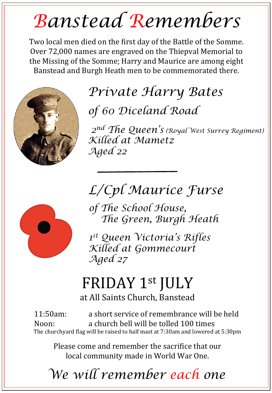## *Banstead Remembers*

Two local men died on the first day of the Battle of the Somme. Over 72,000 names are engraved on the Thiepval Memorial to the Missing of the Somme; Harry and Maurice are among eight Banstead and Burgh Heath men to be commemorated there.



# *Private Harry Bates*

*of 60 Diceland Road* 

 *2nd The Queen's (Royal West Surrey Regiment) Killed at Mametz Aged 22* 

*L/Cpl Maurice Furse*



*of The School House, The Green, Burgh Heath* 

*1st Queen Victoria's Rifles Killed at Gommecourt Aged 27*

## FRIDAY 1st JULY

at All Saints Church, Banstead

11:50am: a short service of remembrance will be held Noon: a church bell will be tolled 100 times The churchyard flag will be raised to half mast at 7:30am and lowered at 5:30pm

Please come and remember the sacrifice that our local community made in World War One.

*We will remember each one*